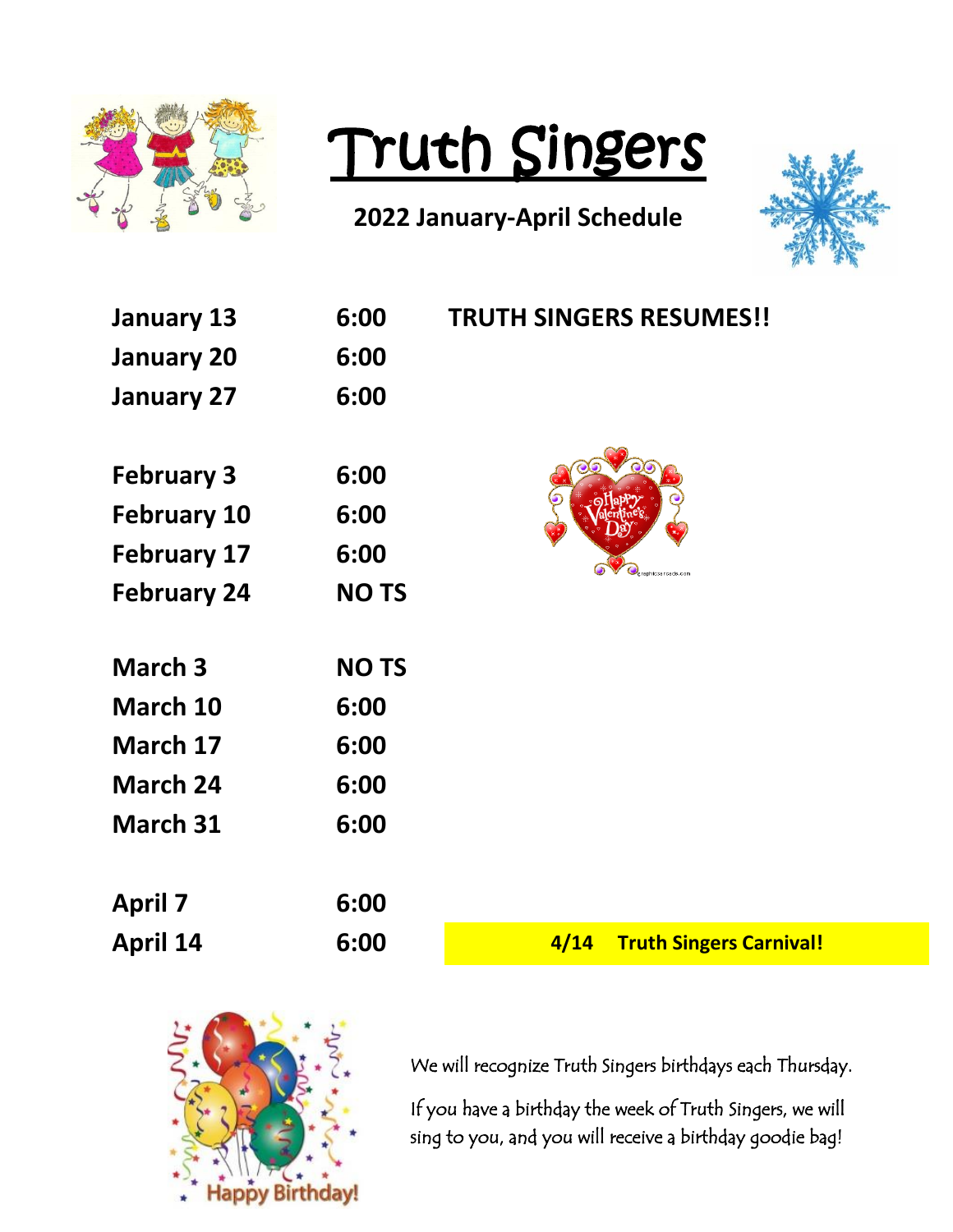

## Truth Singers

## **2022 January-April Schedule**



| <b>January 13</b>  | 6:00        | <b>TRUTH SINGERS RESUMES!!</b>         |
|--------------------|-------------|----------------------------------------|
| <b>January 20</b>  | 6:00        |                                        |
| <b>January 27</b>  | 6:00        |                                        |
|                    |             |                                        |
| <b>February 3</b>  | 6:00        |                                        |
| <b>February 10</b> | 6:00        |                                        |
| <b>February 17</b> | 6:00        | anhicsarcade.com                       |
| <b>February 24</b> | <b>NOTS</b> |                                        |
|                    |             |                                        |
| March <sub>3</sub> | <b>NOTS</b> |                                        |
| March 10           | 6:00        |                                        |
| March 17           | 6:00        |                                        |
| March 24           | 6:00        |                                        |
| March 31           | 6:00        |                                        |
|                    |             |                                        |
| <b>April 7</b>     | 6:00        |                                        |
| <b>April 14</b>    | 6:00        | 4/14<br><b>Truth Singers Carnival!</b> |



We will recognize Truth Singers birthdays each Thursday.

If you have a birthday the week of Truth Singers, we will sing to you, and you will receive a birthday goodie bag!